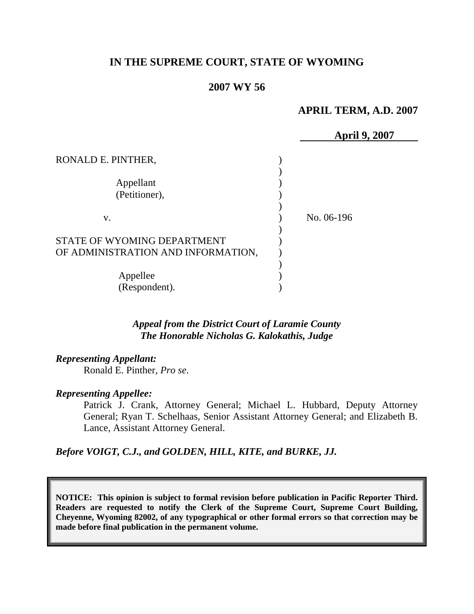# **IN THE SUPREME COURT, STATE OF WYOMING**

## **2007 WY 56**

## **APRIL TERM, A.D. 2007**

|                                                                   | <b>April 9, 2007</b> |
|-------------------------------------------------------------------|----------------------|
| RONALD E. PINTHER,                                                |                      |
| Appellant<br>(Petitioner),                                        |                      |
| V.                                                                | No. 06-196           |
| STATE OF WYOMING DEPARTMENT<br>OF ADMINISTRATION AND INFORMATION, |                      |
| Appellee<br>(Respondent).                                         |                      |

## *Appeal from the District Court of Laramie County The Honorable Nicholas G. Kalokathis, Judge*

## *Representing Appellant:*

Ronald E. Pinther, *Pro se*.

#### *Representing Appellee:*

Patrick J. Crank, Attorney General; Michael L. Hubbard, Deputy Attorney General; Ryan T. Schelhaas, Senior Assistant Attorney General; and Elizabeth B. Lance, Assistant Attorney General.

*Before VOIGT, C.J., and GOLDEN, HILL, KITE, and BURKE, JJ.*

**NOTICE: This opinion is subject to formal revision before publication in Pacific Reporter Third. Readers are requested to notify the Clerk of the Supreme Court, Supreme Court Building, Cheyenne, Wyoming 82002, of any typographical or other formal errors so that correction may be made before final publication in the permanent volume.**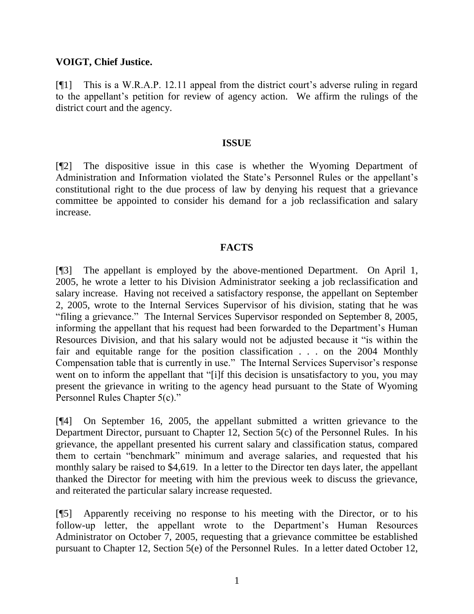## **VOIGT, Chief Justice.**

[¶1] This is a W.R.A.P. 12.11 appeal from the district court's adverse ruling in regard to the appellant's petition for review of agency action. We affirm the rulings of the district court and the agency.

#### **ISSUE**

[¶2] The dispositive issue in this case is whether the Wyoming Department of Administration and Information violated the State's Personnel Rules or the appellant's constitutional right to the due process of law by denying his request that a grievance committee be appointed to consider his demand for a job reclassification and salary increase.

## **FACTS**

[¶3] The appellant is employed by the above-mentioned Department. On April 1, 2005, he wrote a letter to his Division Administrator seeking a job reclassification and salary increase. Having not received a satisfactory response, the appellant on September 2, 2005, wrote to the Internal Services Supervisor of his division, stating that he was "filing a grievance." The Internal Services Supervisor responded on September 8, 2005, informing the appellant that his request had been forwarded to the Department's Human Resources Division, and that his salary would not be adjusted because it "is within the fair and equitable range for the position classification . . . on the 2004 Monthly Compensation table that is currently in use." The Internal Services Supervisor's response went on to inform the appellant that "[i]f this decision is unsatisfactory to you, you may present the grievance in writing to the agency head pursuant to the State of Wyoming Personnel Rules Chapter 5(c)."

[¶4] On September 16, 2005, the appellant submitted a written grievance to the Department Director, pursuant to Chapter 12, Section 5(c) of the Personnel Rules. In his grievance, the appellant presented his current salary and classification status, compared them to certain "benchmark" minimum and average salaries, and requested that his monthly salary be raised to \$4,619. In a letter to the Director ten days later, the appellant thanked the Director for meeting with him the previous week to discuss the grievance, and reiterated the particular salary increase requested.

[¶5] Apparently receiving no response to his meeting with the Director, or to his follow-up letter, the appellant wrote to the Department's Human Resources Administrator on October 7, 2005, requesting that a grievance committee be established pursuant to Chapter 12, Section 5(e) of the Personnel Rules. In a letter dated October 12,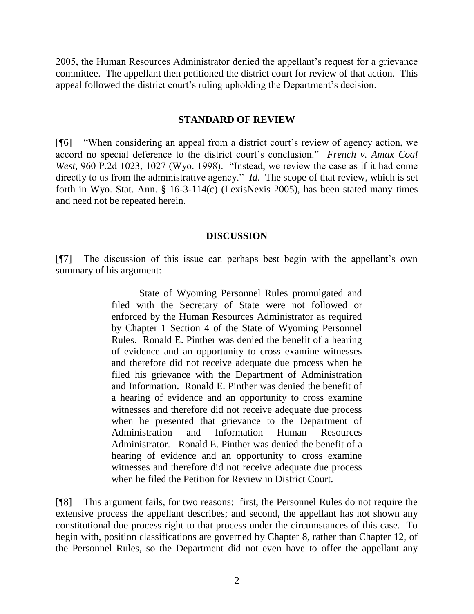2005, the Human Resources Administrator denied the appellant's request for a grievance committee. The appellant then petitioned the district court for review of that action. This appeal followed the district court's ruling upholding the Department's decision.

#### **STANDARD OF REVIEW**

[¶6] "When considering an appeal from a district court's review of agency action, we accord no special deference to the district court's conclusion." *French v. Amax Coal West*, 960 P.2d 1023, 1027 (Wyo. 1998). "Instead, we review the case as if it had come directly to us from the administrative agency." *Id.* The scope of that review, which is set forth in Wyo. Stat. Ann. § 16-3-114(c) (LexisNexis 2005), has been stated many times and need not be repeated herein.

## **DISCUSSION**

[¶7] The discussion of this issue can perhaps best begin with the appellant's own summary of his argument:

> State of Wyoming Personnel Rules promulgated and filed with the Secretary of State were not followed or enforced by the Human Resources Administrator as required by Chapter 1 Section 4 of the State of Wyoming Personnel Rules. Ronald E. Pinther was denied the benefit of a hearing of evidence and an opportunity to cross examine witnesses and therefore did not receive adequate due process when he filed his grievance with the Department of Administration and Information. Ronald E. Pinther was denied the benefit of a hearing of evidence and an opportunity to cross examine witnesses and therefore did not receive adequate due process when he presented that grievance to the Department of Administration and Information Human Resources Administrator. Ronald E. Pinther was denied the benefit of a hearing of evidence and an opportunity to cross examine witnesses and therefore did not receive adequate due process when he filed the Petition for Review in District Court.

[¶8] This argument fails, for two reasons: first, the Personnel Rules do not require the extensive process the appellant describes; and second, the appellant has not shown any constitutional due process right to that process under the circumstances of this case. To begin with, position classifications are governed by Chapter 8, rather than Chapter 12, of the Personnel Rules, so the Department did not even have to offer the appellant any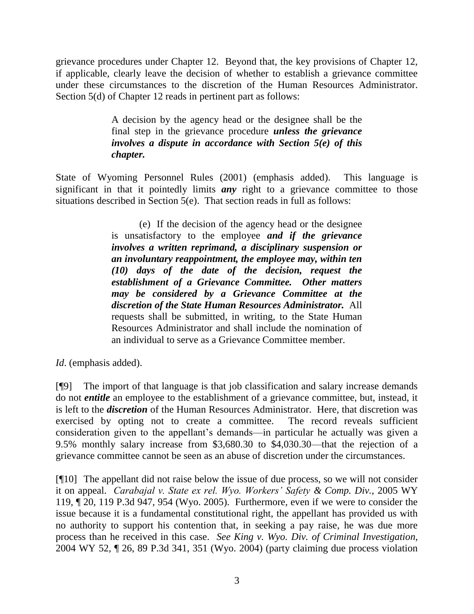grievance procedures under Chapter 12. Beyond that, the key provisions of Chapter 12, if applicable, clearly leave the decision of whether to establish a grievance committee under these circumstances to the discretion of the Human Resources Administrator. Section 5(d) of Chapter 12 reads in pertinent part as follows:

> A decision by the agency head or the designee shall be the final step in the grievance procedure *unless the grievance involves a dispute in accordance with Section 5(e) of this chapter.*

State of Wyoming Personnel Rules (2001) (emphasis added). This language is significant in that it pointedly limits *any* right to a grievance committee to those situations described in Section 5(e). That section reads in full as follows:

> (e) If the decision of the agency head or the designee is unsatisfactory to the employee *and if the grievance involves a written reprimand, a disciplinary suspension or an involuntary reappointment, the employee may, within ten (10) days of the date of the decision, request the establishment of a Grievance Committee. Other matters may be considered by a Grievance Committee at the discretion of the State Human Resources Administrator.* All requests shall be submitted, in writing, to the State Human Resources Administrator and shall include the nomination of an individual to serve as a Grievance Committee member.

*Id*. (emphasis added).

[¶9] The import of that language is that job classification and salary increase demands do not *entitle* an employee to the establishment of a grievance committee, but, instead, it is left to the *discretion* of the Human Resources Administrator. Here, that discretion was exercised by opting not to create a committee. The record reveals sufficient consideration given to the appellant's demands—in particular he actually was given a 9.5% monthly salary increase from \$3,680.30 to \$4,030.30—that the rejection of a grievance committee cannot be seen as an abuse of discretion under the circumstances.

[¶10] The appellant did not raise below the issue of due process, so we will not consider it on appeal. *Carabajal v. State ex rel. Wyo. Workers' Safety & Comp. Div.*, 2005 WY 119, ¶ 20, 119 P.3d 947, 954 (Wyo. 2005). Furthermore, even if we were to consider the issue because it is a fundamental constitutional right, the appellant has provided us with no authority to support his contention that, in seeking a pay raise, he was due more process than he received in this case. *See King v. Wyo. Div. of Criminal Investigation*, 2004 WY 52, ¶ 26, 89 P.3d 341, 351 (Wyo. 2004) (party claiming due process violation